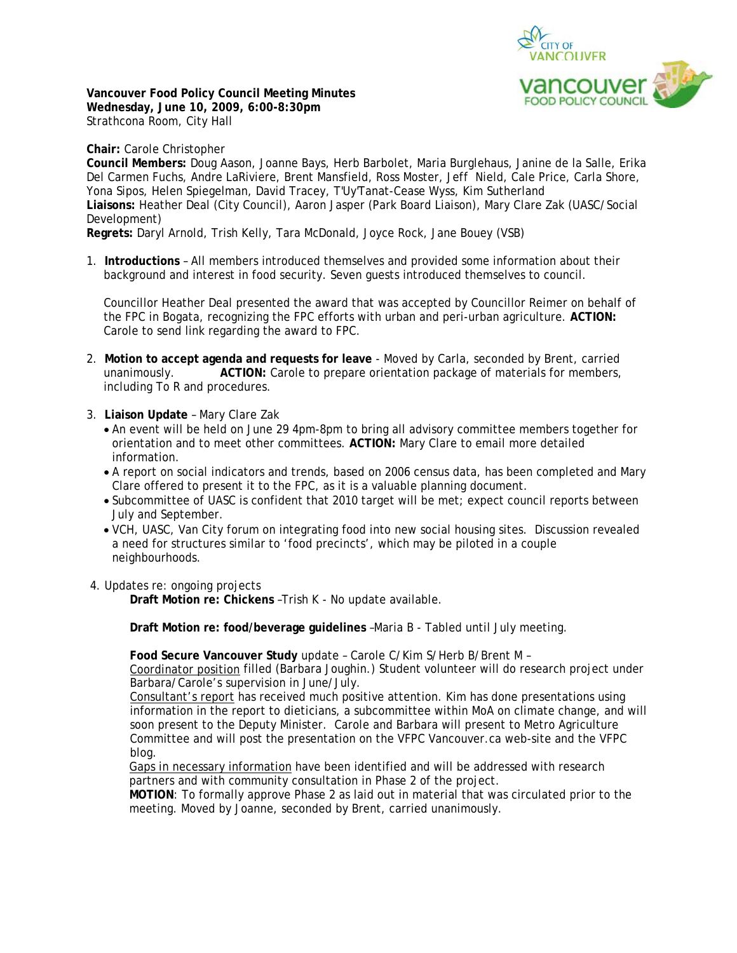

**Vancouver Food Policy Council Meeting Minutes Wednesday, June 10, 2009, 6:00-8:30pm**  Strathcona Room, City Hall

**Chair:** Carole Christopher

**Council Members:** Doug Aason, Joanne Bays, Herb Barbolet, Maria Burglehaus, Janine de la Salle, Erika Del Carmen Fuchs, Andre LaRiviere, Brent Mansfield, Ross Moster, Jeff Nield, Cale Price, Carla Shore, Yona Sipos, Helen Spiegelman, David Tracey, T'Uy'Tanat-Cease Wyss, Kim Sutherland **Liaisons:** Heather Deal (City Council), Aaron Jasper (Park Board Liaison), Mary Clare Zak (UASC/Social Development)

**Regrets:** Daryl Arnold, Trish Kelly, Tara McDonald, Joyce Rock, Jane Bouey (VSB)

1. **Introductions** – All members introduced themselves and provided some information about their background and interest in food security. Seven guests introduced themselves to council.

Councillor Heather Deal presented the award that was accepted by Councillor Reimer on behalf of the FPC in Bogata, recognizing the FPC efforts with urban and peri-urban agriculture. **ACTION:** Carole to send link regarding the award to FPC.

- 2. **Motion to accept agenda and requests for leave** Moved by Carla, seconded by Brent, carried unanimously. **ACTION:** Carole to prepare orientation package of materials for members, including To R and procedures.
- 3. **Liaison Update**  Mary Clare Zak
	- An event will be held on June 29 4pm-8pm to bring all advisory committee members together for orientation and to meet other committees. **ACTION:** Mary Clare to email more detailed information.
	- A report on social indicators and trends, based on 2006 census data, has been completed and Mary Clare offered to present it to the FPC, as it is a valuable planning document.
	- Subcommittee of UASC is confident that 2010 target will be met; expect council reports between July and September.
	- VCH, UASC, Van City forum on integrating food into new social housing sites. Discussion revealed a need for structures similar to 'food precincts', which may be piloted in a couple neighbourhoods.
- 4. Updates re: ongoing projects

**Draft Motion re: Chickens** –Trish K - No update available.

**Draft Motion re: food/beverage guidelines** –Maria B - Tabled until July meeting.

**Food Secure Vancouver Study** update – Carole C/Kim S/Herb B/Brent M – Coordinator position filled (Barbara Joughin.) Student volunteer will do research project under Barbara/Carole's supervision in June/July.

Consultant's report has received much positive attention. Kim has done presentations using information in the report to dieticians, a subcommittee within MoA on climate change, and will soon present to the Deputy Minister. Carole and Barbara will present to Metro Agriculture Committee and will post the presentation on the VFPC Vancouver.ca web-site and the VFPC blog.

Gaps in necessary information have been identified and will be addressed with research partners and with community consultation in Phase 2 of the project.

**MOTION**: To formally approve Phase 2 as laid out in material that was circulated prior to the meeting. Moved by Joanne, seconded by Brent, carried unanimously.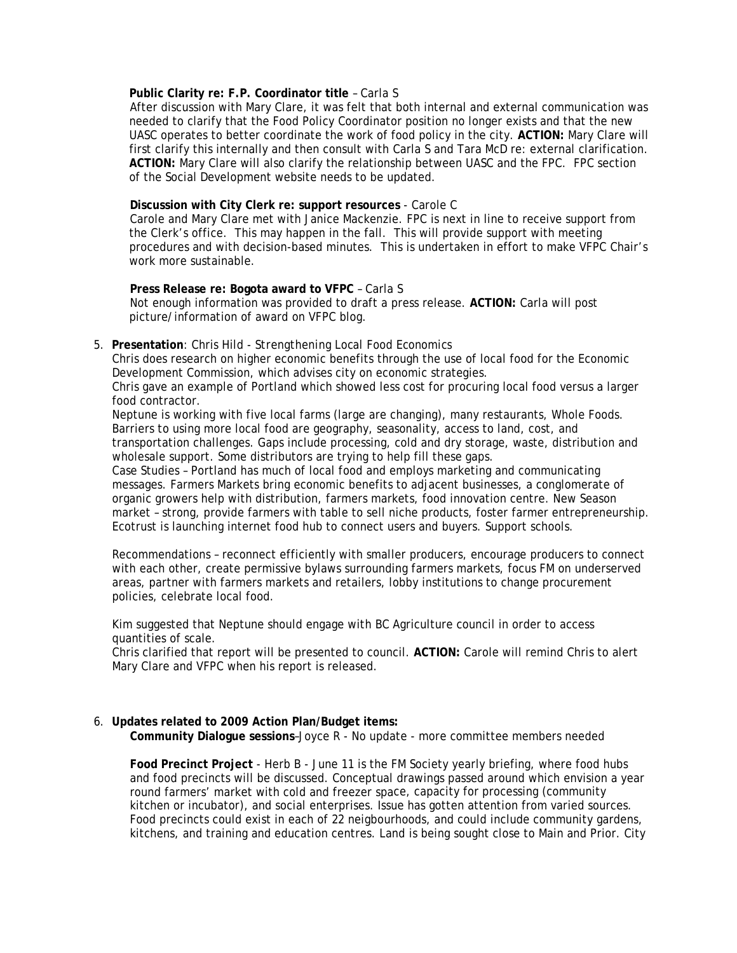# **Public Clarity re: F.P. Coordinator title** – Carla S

 After discussion with Mary Clare, it was felt that both internal and external communication was needed to clarify that the Food Policy Coordinator position no longer exists and that the new UASC operates to better coordinate the work of food policy in the city. **ACTION:** Mary Clare will first clarify this internally and then consult with Carla S and Tara McD re: external clarification. **ACTION:** Mary Clare will also clarify the relationship between UASC and the FPC. FPC section of the Social Development website needs to be updated.

## **Discussion with City Clerk re: support resources** - Carole C

 Carole and Mary Clare met with Janice Mackenzie. FPC is next in line to receive support from the Clerk's office. This may happen in the fall. This will provide support with meeting procedures and with decision-based minutes. This is undertaken in effort to make VFPC Chair's work more sustainable.

**Press Release re: Bogota award to VFPC** – Carla S Not enough information was provided to draft a press release. **ACTION:** Carla will post picture/information of award on VFPC blog.

#### 5. **Presentation**: Chris Hild - *Strengthening Local Food Economics*

Chris does research on higher economic benefits through the use of local food for the Economic Development Commission, which advises city on economic strategies.

Chris gave an example of Portland which showed less cost for procuring local food versus a larger food contractor.

Neptune is working with five local farms (large are changing), many restaurants, Whole Foods. Barriers to using more local food are geography, seasonality, access to land, cost, and transportation challenges. Gaps include processing, cold and dry storage, waste, distribution and wholesale support. Some distributors are trying to help fill these gaps.

Case Studies – Portland has much of local food and employs marketing and communicating messages. Farmers Markets bring economic benefits to adjacent businesses, a conglomerate of organic growers help with distribution, farmers markets, food innovation centre. New Season market – strong, provide farmers with table to sell niche products, foster farmer entrepreneurship. Ecotrust is launching internet food hub to connect users and buyers. Support schools.

Recommendations – reconnect efficiently with smaller producers, encourage producers to connect with each other, create permissive bylaws surrounding farmers markets, focus FM on underserved areas, partner with farmers markets and retailers, lobby institutions to change procurement policies, celebrate local food.

Kim suggested that Neptune should engage with BC Agriculture council in order to access quantities of scale.

Chris clarified that report will be presented to council. **ACTION:** Carole will remind Chris to alert Mary Clare and VFPC when his report is released.

#### 6. **Updates related to 2009 Action Plan/Budget items: Community Dialogue sessions**–Joyce R - No update - more committee members needed

**Food Precinct Project** - Herb B - June 11 is the FM Society yearly briefing, where food hubs and food precincts will be discussed. Conceptual drawings passed around which envision a year round farmers' market with cold and freezer space, capacity for processing (community kitchen or incubator), and social enterprises. Issue has gotten attention from varied sources. Food precincts could exist in each of 22 neigbourhoods, and could include community gardens, kitchens, and training and education centres. Land is being sought close to Main and Prior. City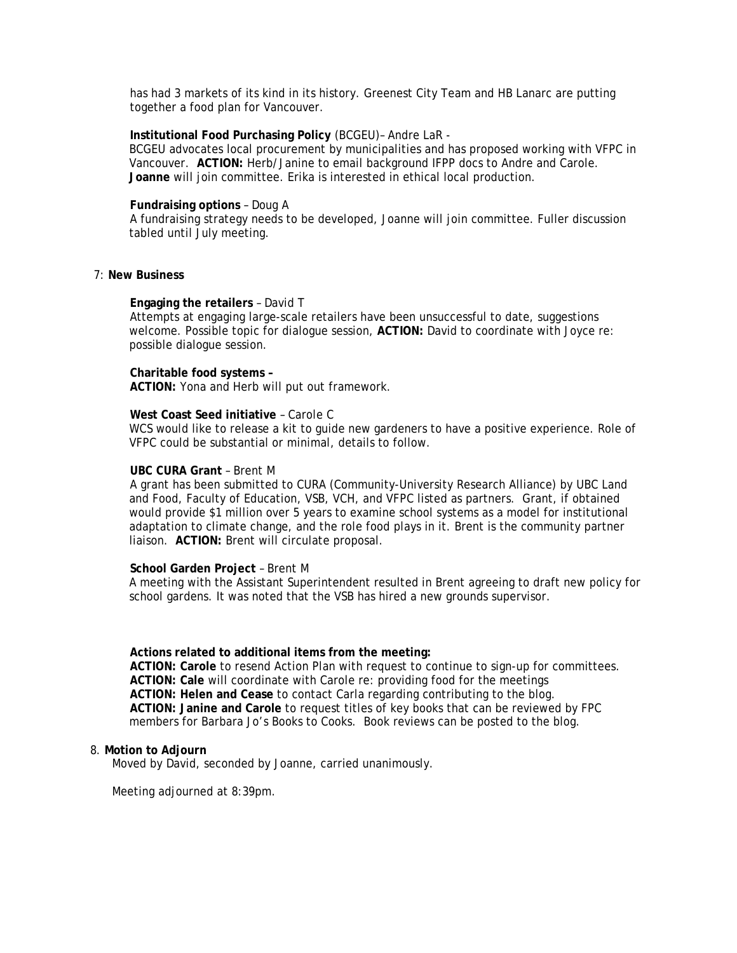has had 3 markets of its kind in its history. Greenest City Team and HB Lanarc are putting together a food plan for Vancouver.

#### **Institutional Food Purchasing Policy** (BCGEU)– Andre LaR -

BCGEU advocates local procurement by municipalities and has proposed working with VFPC in Vancouver. **ACTION:** Herb/Janine to email background IFPP docs to Andre and Carole. **Joanne** will join committee. Erika is interested in ethical local production.

#### **Fundraising options** – Doug A

 A fundraising strategy needs to be developed, Joanne will join committee. Fuller discussion tabled until July meeting.

## 7: **New Business**

#### **Engaging the retailers** – David T

 Attempts at engaging large-scale retailers have been unsuccessful to date, suggestions welcome. Possible topic for dialogue session, **ACTION:** David to coordinate with Joyce re: possible dialogue session.

#### **Charitable food systems –**

**ACTION:** Yona and Herb will put out framework.

#### **West Coast Seed initiative** – Carole C

WCS would like to release a kit to guide new gardeners to have a positive experience. Role of VFPC could be substantial or minimal, details to follow.

## **UBC CURA Grant** – Brent M

 A grant has been submitted to CURA (Community-University Research Alliance) by UBC Land and Food, Faculty of Education, VSB, VCH, and VFPC listed as partners. Grant, if obtained would provide \$1 million over 5 years to examine school systems as a model for institutional adaptation to climate change, and the role food plays in it. Brent is the community partner liaison. **ACTION:** Brent will circulate proposal.

#### **School Garden Project** – Brent M

A meeting with the Assistant Superintendent resulted in Brent agreeing to draft new policy for school gardens. It was noted that the VSB has hired a new grounds supervisor.

#### **Actions related to additional items from the meeting:**

**ACTION: Carole** to resend Action Plan with request to continue to sign-up for committees. **ACTION: Cale** will coordinate with Carole re: providing food for the meetings **ACTION: Helen and Cease** to contact Carla regarding contributing to the blog. **ACTION: Janine and Carole** to request titles of key books that can be reviewed by FPC members for Barbara Jo's Books to Cooks. Book reviews can be posted to the blog.

## 8. **Motion to Adjourn**

Moved by David, seconded by Joanne, carried unanimously.

Meeting adjourned at 8:39pm.